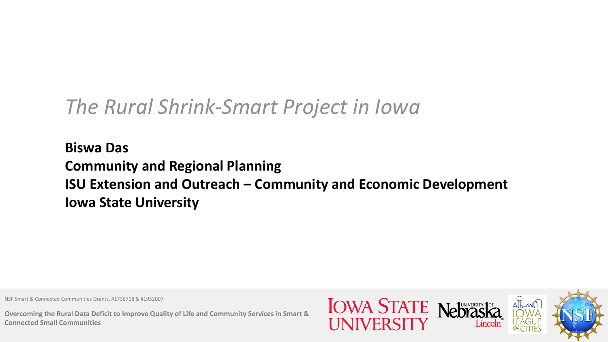# *The Rural Shrink-Smart Project in Iowa*

**Biswa Das Community and Regional Planning ISU Extension and Outreach – Community and Economic Development Iowa State University** 

NSF Smart & Connected Communities Grants, #1736718 & #1952007

**Overcoming the Rural Data Deficit to Improve Quality of Life and Community Services in Smart & Connected Small Communities**

**IOWA STATE Nebrask**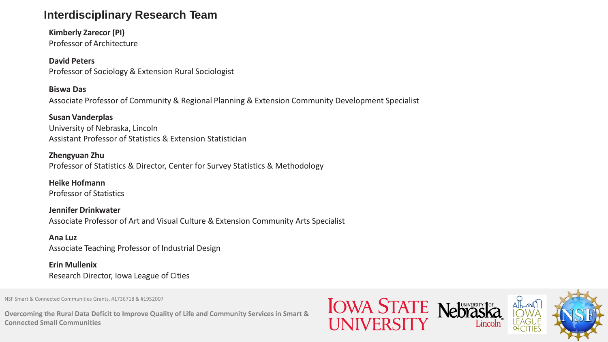### **Interdisciplinary Research Team**

**Kimberly Zarecor (PI)** Professor of Architecture

### **David Peters**

Professor of Sociology & Extension Rural Sociologist

### **Biswa Das**

Associate Professor of Community & Regional Planning & Extension Community Development Specialist

### **Susan Vanderplas**

University of Nebraska, Lincoln Assistant Professor of Statistics & Extension Statistician

### **Zhengyuan Zhu**

Professor of Statistics & Director, Center for Survey Statistics & Methodology

**Heike Hofmann** Professor of Statistics

**Jennifer Drinkwater** Associate Professor of Art and Visual Culture & Extension Community Arts Specialist

#### **Ana Luz** Associate Teaching Professor of Industrial Design

**Erin Mullenix** Research Director, Iowa League of Cities

NSF Smart & Connected Communities Grants, #1736718 & #1952007

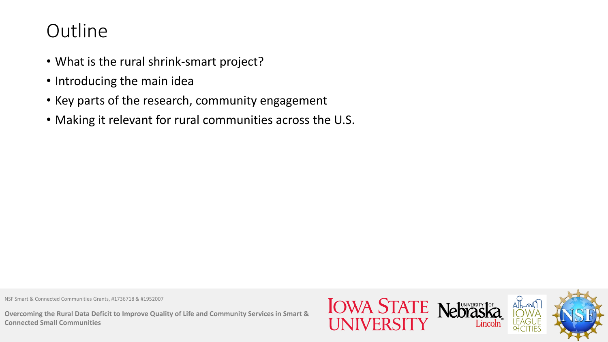## **Outline**

- What is the rural shrink-smart project?
- Introducing the main idea
- Key parts of the research, community engagement
- Making it relevant for rural communities across the U.S.

NSF Smart & Connected Communities Grants, #1736718 & #1952007

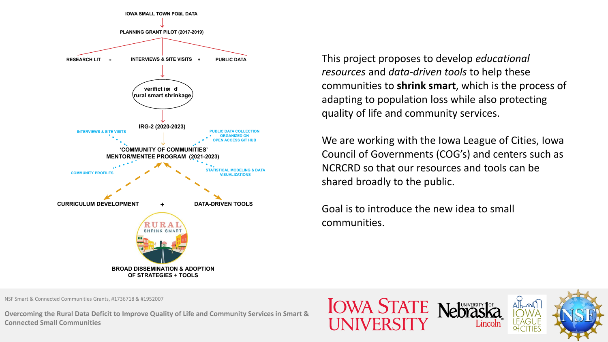

This project proposes to develop *educational resources* and *data-driven tools* to help these communities to **shrink smart**, which is the process of adapting to population loss while also protecting quality of life and community services.

We are working with the Iowa League of Cities, Iowa Council of Governments (COG's) and centers such as NCRCRD so that our resources and tools can be shared broadly to the public.

Goal is to introduce the new idea to small communities.

NSF Smart & Connected Communities Grants, #1736718 & #1952007

**Overcoming the Rural Data Deficit to Improve Quality of Life and Community Services in Smart & Connected Small Communities**

**IOWA STATE Nebras** 

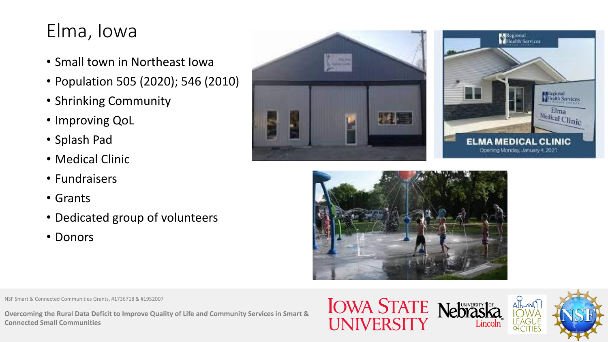# Elma, Iowa

- Small town in Northeast Iowa
- Population 505 (2020); 546 (2010)
- Shrinking Community
- Improving QoL
- Splash Pad
- Medical Clinic
- Fundraisers
- Grants
- Dedicated group of volunteers
- Donors







NSF Smart & Connected Communities Grants, #1736718 & #1952007

**Overcoming the Rural Data Deficit to Improve Quality of Life and Community Services in Smart & Connected Small Communities**

**IOWA STATE Nebraska** UNIVERSIT

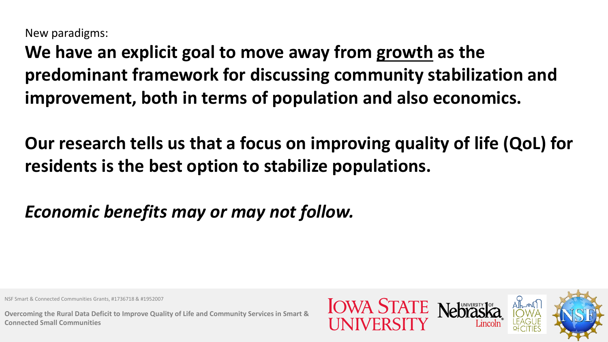New paradigms:

**We have an explicit goal to move away from growth as the predominant framework for discussing community stabilization and improvement, both in terms of population and also economics.** 

**Our research tells us that a focus on improving quality of life (QoL) for residents is the best option to stabilize populations.**

*Economic benefits may or may not follow.*

NSF Smart & Connected Communities Grants, #1736718 & #1952007

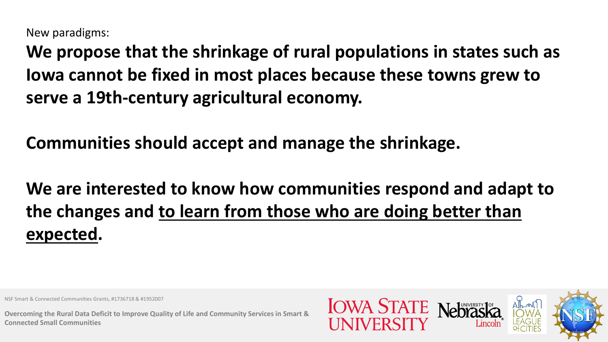New paradigms:

**We propose that the shrinkage of rural populations in states such as Iowa cannot be fixed in most places because these towns grew to serve a 19th-century agricultural economy.**

**Communities should accept and manage the shrinkage.**

**We are interested to know how communities respond and adapt to the changes and to learn from those who are doing better than expected.**

NSF Smart & Connected Communities Grants, #1736718 & #1952007

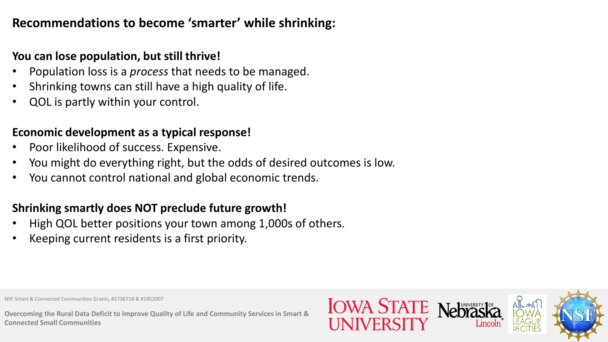## **Recommendations to become 'smarter' while shrinking:**

### **You can lose population, but still thrive!**

- Population loss is a *process* that needs to be managed.
- Shrinking towns can still have a high quality of life.
- QOL is partly within your control.

### **Economic development as a typical response!**

- Poor likelihood of success. Expensive.
- You might do everything right, but the odds of desired outcomes is low.
- You cannot control national and global economic trends.

### **Shrinking smartly does NOT preclude future growth!**

- High QOL better positions your town among 1,000s of others.
- Keeping current residents is a first priority.

NSF Smart & Connected Communities Grants, #1736718 & #1952007

**Overcoming the Rural Data Deficit to Improve Quality of Life and Community Services in Smart & Connected Small Communities**

**IOWA STATE**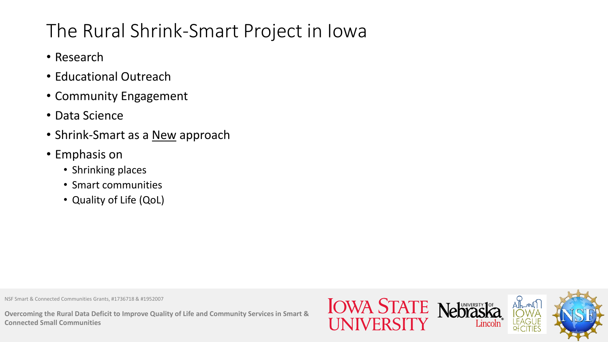# The Rural Shrink-Smart Project in Iowa

- Research
- Educational Outreach
- Community Engagement
- Data Science
- Shrink-Smart as a **New** approach
- Emphasis on
	- Shrinking places
	- Smart communities
	- Quality of Life (QoL)

NSF Smart & Connected Communities Grants, #1736718 & #1952007

**Overcoming the Rural Data Deficit to Improve Quality of Life and Community Services in Smart & Connected Small Communities**

**IOWA STATE Nebrash**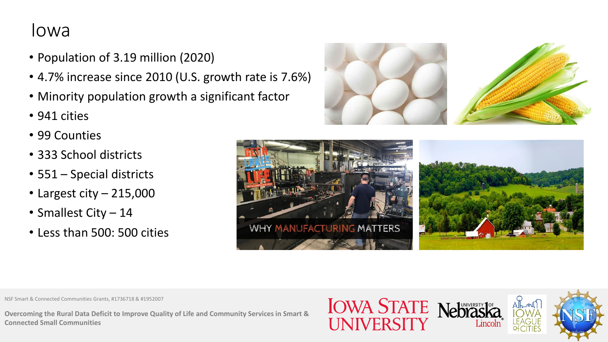## Iowa

- Population of 3.19 million (2020)
- 4.7% increase since 2010 (U.S. growth rate is 7.6%)
- Minority population growth a significant factor
- 941 cities
- 99 Counties
- 333 School districts
- 551 Special districts
- Largest city 215,000
- Smallest City 14
- Less than 500: 500 cities





NSF Smart & Connected Communities Grants, #1736718 & #1952007

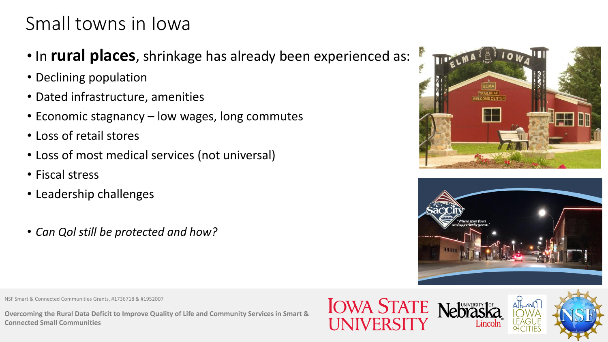## Small towns in Iowa

- In **rural places**, shrinkage has already been experienced as:
- Declining population
- Dated infrastructure, amenities
- Economic stagnancy low wages, long commutes
- Loss of retail stores
- Loss of most medical services (not universal)
- Fiscal stress
- Leadership challenges
- *Can Qol still be protected and how?*





NSF Smart & Connected Communities Grants, #1736718 & #1952007



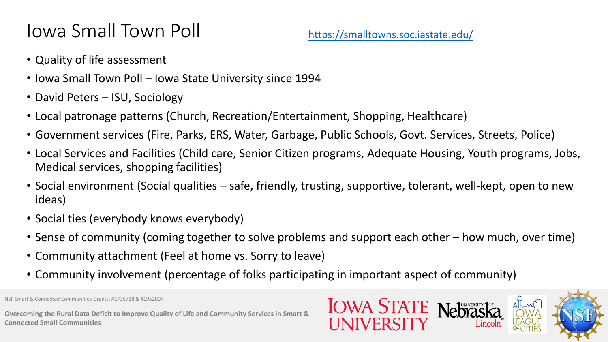# Iowa Small Town Poll

- Quality of life assessment
- Iowa Small Town Poll Iowa State University since 1994
- David Peters ISU, Sociology
- Local patronage patterns (Church, Recreation/Entertainment, Shopping, Healthcare)
- Government services (Fire, Parks, ERS, Water, Garbage, Public Schools, Govt. Services, Streets, Police)
- Local Services and Facilities (Child care, Senior Citizen programs, Adequate Housing, Youth programs, Jobs, Medical services, shopping facilities)
- Social environment (Social qualities safe, friendly, trusting, supportive, tolerant, well-kept, open to new ideas)
- Social ties (everybody knows everybody)
- Sense of community (coming together to solve problems and support each other how much, over time)
- Community attachment (Feel at home vs. Sorry to leave)
- Community involvement (percentage of folks participating in important aspect of community)



NSF Smart & Connected Communities Grants, #1736718 & #1952007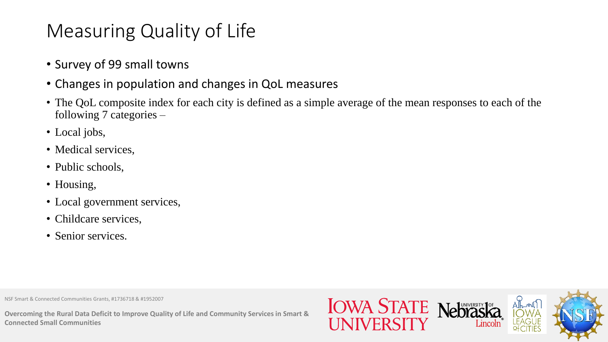# Measuring Quality of Life

- Survey of 99 small towns
- Changes in population and changes in QoL measures
- The QoL composite index for each city is defined as a simple average of the mean responses to each of the following 7 categories –
- Local jobs,
- Medical services,
- Public schools,
- Housing,
- Local government services,
- Childcare services,
- Senior services.

NSF Smart & Connected Communities Grants, #1736718 & #1952007

**Overcoming the Rural Data Deficit to Improve Quality of Life and Community Services in Smart & Connected Small Communities**

**IOWA STATE Nebrask**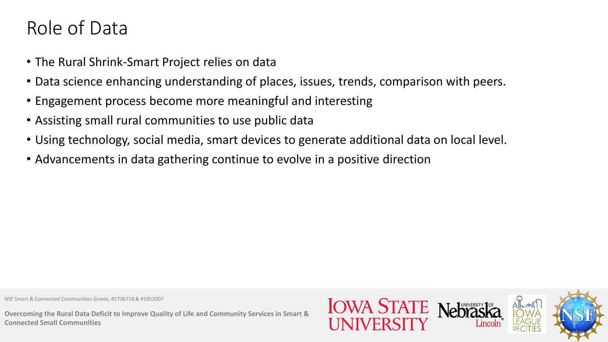## Role of Data

- The Rural Shrink-Smart Project relies on data
- Data science enhancing understanding of places, issues, trends, comparison with peers.
- Engagement process become more meaningful and interesting
- Assisting small rural communities to use public data
- Using technology, social media, smart devices to generate additional data on local level.
- Advancements in data gathering continue to evolve in a positive direction

NSF Smart & Connected Communities Grants, #1736718 & #1952007

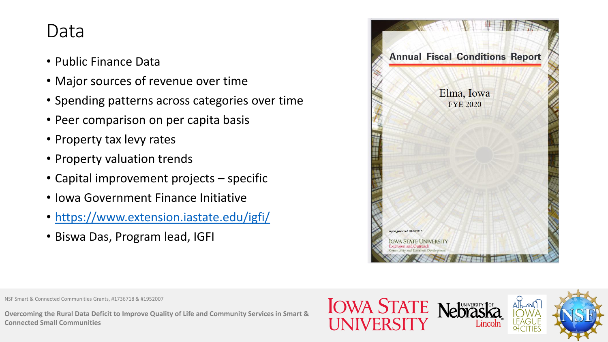## Data

- Public Finance Data
- Major sources of revenue over time
- Spending patterns across categories over time
- Peer comparison on per capita basis
- Property tax levy rates
- Property valuation trends
- Capital improvement projects specific
- Iowa Government Finance Initiative
- <https://www.extension.iastate.edu/igfi/>
- Biswa Das, Program lead, IGFI



NSF Smart & Connected Communities Grants, #1736718 & #1952007

**Overcoming the Rural Data Deficit to Improve Quality of Life and Community Services in Smart & Connected Small Communities**

**IOWA STATE Nebrasi** 

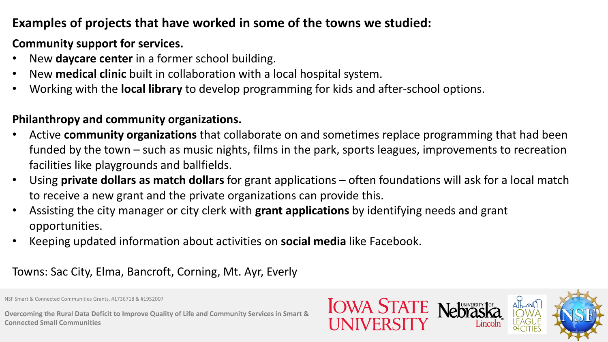## **Examples of projects that have worked in some of the towns we studied:**

## **Community support for services.**

- New **daycare center** in a former school building.
- New **medical clinic** built in collaboration with a local hospital system.
- Working with the **local library** to develop programming for kids and after-school options.

## **Philanthropy and community organizations.**

- Active **community organizations** that collaborate on and sometimes replace programming that had been funded by the town – such as music nights, films in the park, sports leagues, improvements to recreation facilities like playgrounds and ballfields.
- Using **private dollars as match dollars** for grant applications often foundations will ask for a local match to receive a new grant and the private organizations can provide this.
- Assisting the city manager or city clerk with **grant applications** by identifying needs and grant opportunities.
- Keeping updated information about activities on **social media** like Facebook.

## Towns: Sac City, Elma, Bancroft, Corning, Mt. Ayr, Everly

NSF Smart & Connected Communities Grants, #1736718 & #1952007

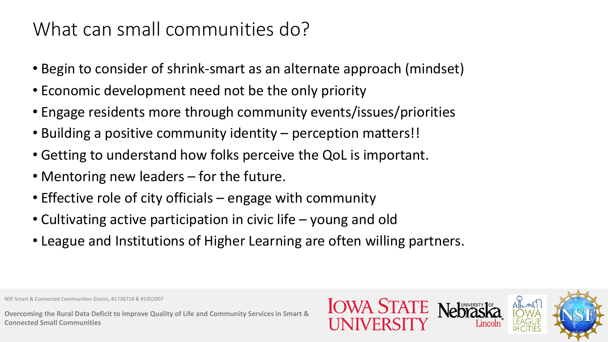# What can small communities do?

- Begin to consider of shrink-smart as an alternate approach (mindset)
- Economic development need not be the only priority
- Engage residents more through community events/issues/priorities
- Building a positive community identity perception matters!!
- Getting to understand how folks perceive the QoL is important.
- Mentoring new leaders for the future.
- Effective role of city officials engage with community
- Cultivating active participation in civic life young and old
- League and Institutions of Higher Learning are often willing partners.

NSF Smart & Connected Communities Grants, #1736718 & #1952007

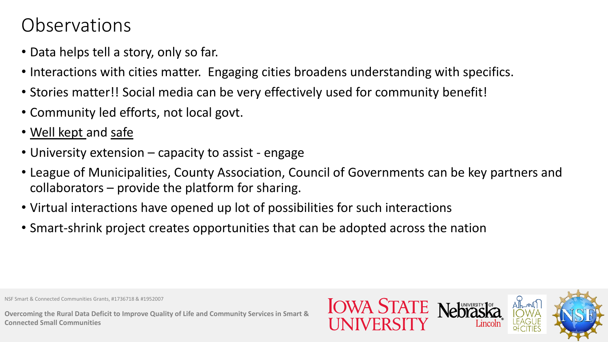## Observations

- Data helps tell a story, only so far.
- Interactions with cities matter. Engaging cities broadens understanding with specifics.
- Stories matter!! Social media can be very effectively used for community benefit!
- Community led efforts, not local govt.
- Well kept and safe
- University extension capacity to assist engage
- League of Municipalities, County Association, Council of Governments can be key partners and collaborators – provide the platform for sharing.
- Virtual interactions have opened up lot of possibilities for such interactions
- Smart-shrink project creates opportunities that can be adopted across the nation